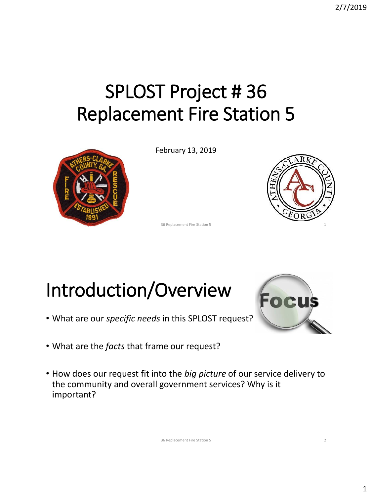## SPLOST Project # 36 Replacement Fire Station 5



February 13, 2019



36 Replacement Fire Station 5

## Introduction/Overview

- What are our *specific needs* in this SPLOST request?
- What are the *facts* that frame our request?
- How does our request fit into the *big picture* of our service delivery to the community and overall government services? Why is it important?



36 Replacement Fire Station 5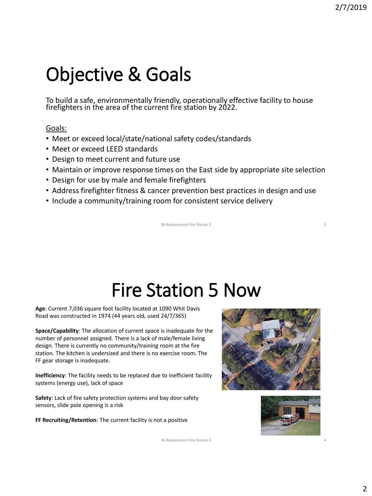## Objective & Goals

To build a safe, environmentally friendly, operationally effective facility to house firefighters in the area of the current fire station by 2022.

#### Goals:

- Meet or exceed local/state/national safety codes/standards
- Meet or exceed LEED standards
- Design to meet current and future use
- Maintain or improve response times on the East side by appropriate site selection
- Design for use by male and female firefighters
- Address firefighter fitness & cancer prevention best practices in design and use
- Include a community/training room for consistent service delivery

36 Replacement Fire Station 5 3

## Fire Station 5 Now

**Age**: Current 7,036 square foot facility located at 1090 Whit Davis Road was constructed in 1974 (44 years old, used 24/7/365)

**Space/Capability**: The allocation of current space is inadequate for the number of personnel assigned. There is a lack of male/female living design. There is currently no community/training room at the fire station. The kitchen is undersized and there is no exercise room. The FF gear storage is inadequate.

**Inefficiency**: The facility needs to be replaced due to inefficient facility systems (energy use), lack of space

**Safety**: Lack of fire safety protection systems and bay door safety sensors, slide pole opening is a risk

**FF Recruiting/Retention**: The current facility is not a positive





4

36 Replacement Fire Station 5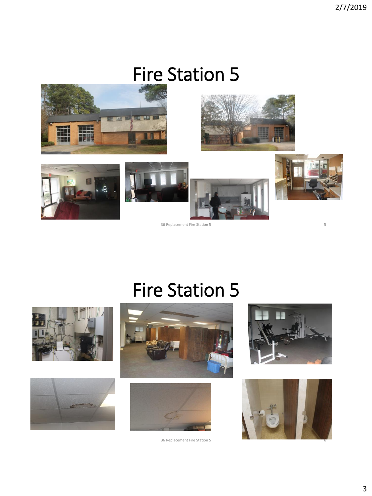#### Fire Station 5



36 Replacement Fire Station 5

#### Fire Station 5









36 Replacement Fire Station 5



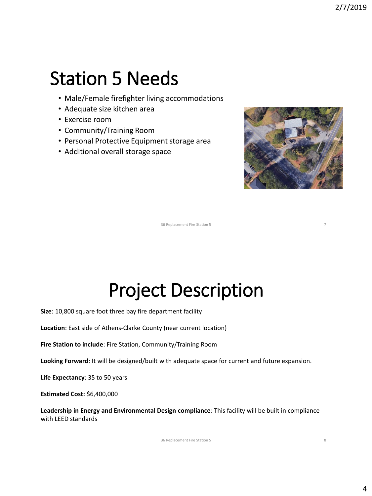#### Station 5 Needs

- Male/Female firefighter living accommodations
- Adequate size kitchen area
- Exercise room
- Community/Training Room
- Personal Protective Equipment storage area
- Additional overall storage space



36 Replacement Fire Station 5

#### Project Description

**Size**: 10,800 square foot three bay fire department facility

**Location**: East side of Athens-Clarke County (near current location)

**Fire Station to include**: Fire Station, Community/Training Room

**Looking Forward**: It will be designed/built with adequate space for current and future expansion.

**Life Expectancy**: 35 to 50 years

**Estimated Cost:** \$6,400,000

**Leadership in Energy and Environmental Design compliance**: This facility will be built in compliance with LEED standards

36 Replacement Fire Station 5

8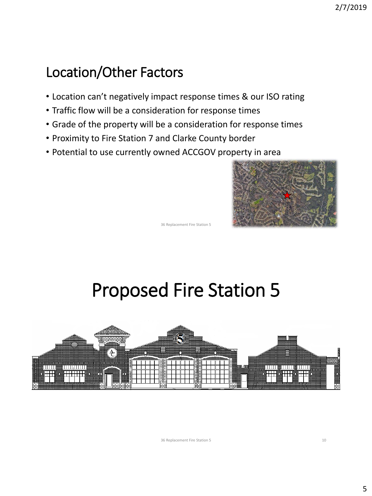#### Location/Other Factors

- Location can't negatively impact response times & our ISO rating
- Traffic flow will be a consideration for response times
- Grade of the property will be a consideration for response times
- Proximity to Fire Station 7 and Clarke County border
- Potential to use currently owned ACCGOV property in area



36 Replacement Fire Station 5

## Proposed Fire Station 5



36 Replacement Fire Station 5